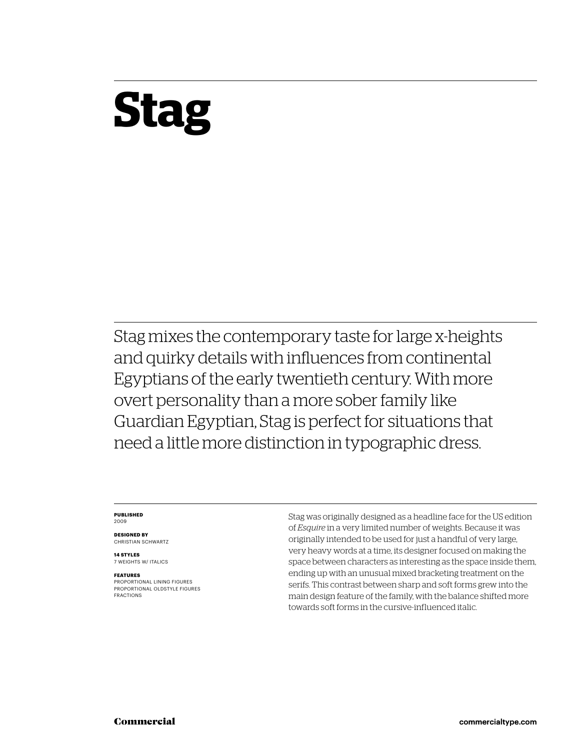## **Stag**

Stag mixes the contemporary taste for large x-heights and quirky details with influences from continental Egyptians of the early twentieth century. With more overt personality than a more sober family like Guardian Egyptian, Stag is perfect for situations that need a little more distinction in typographic dress.

#### **PUBLISHED** 2009

**DESIGNED BY** CHRISTIAN SCHWARTZ

**14 STYLES** 7 WEIGHTS W/ ITALICS

#### **FEATURES**

PROPORTIONAL LINING FIGURES PROPORTIONAL OLDSTYLE FIGURES FRACTIONS

Stag was originally designed as a headline face for the US edition of *Esquire* in a very limited number of weights. Because it was originally intended to be used for just a handful of very large, very heavy words at a time, its designer focused on making the space between characters as interesting as the space inside them, ending up with an unusual mixed bracketing treatment on the serifs. This contrast between sharp and soft forms grew into the main design feature of the family, with the balance shifted more towards soft forms in the cursive-influenced italic.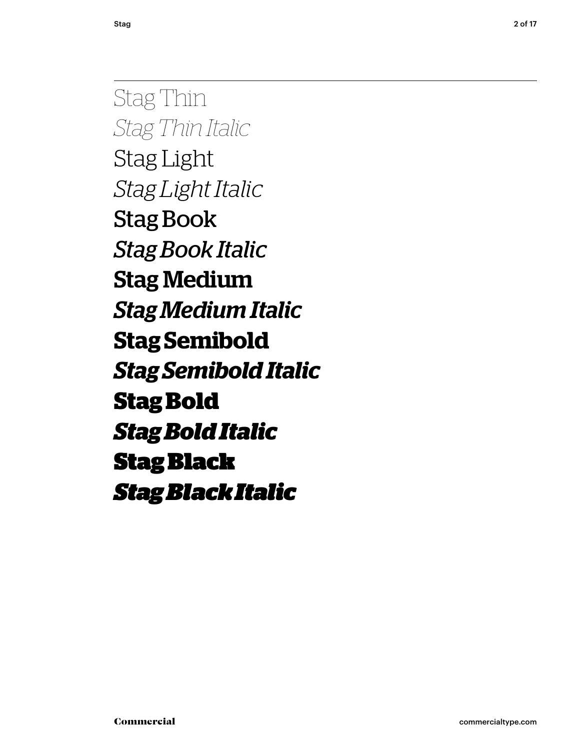Stag Thin *Stag Thin Italic* Stag Light *Stag Light Italic* Stag Book *Stag Book Italic* Stag Medium *Stag Medium Italic* **Stag Semibold** *Stag Semibold Italic* **Stag Bold** *Stag Bold Italic* Stag Black *Stag Black Italic*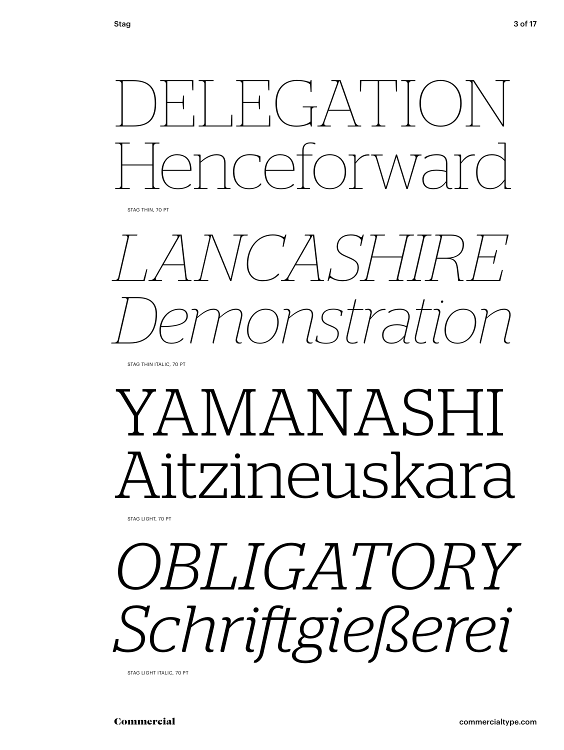STAG THIN, 70 PT

*LANCASHIRE Demonstration*

STAG THIN ITALIC, 70 PT

## YAMANASHI Aitzineuskara

STAG LIGHT, 70 PT

# *OBLIGATORY Schrift gießerei*

STAG LIGHT ITALIC, 70 PT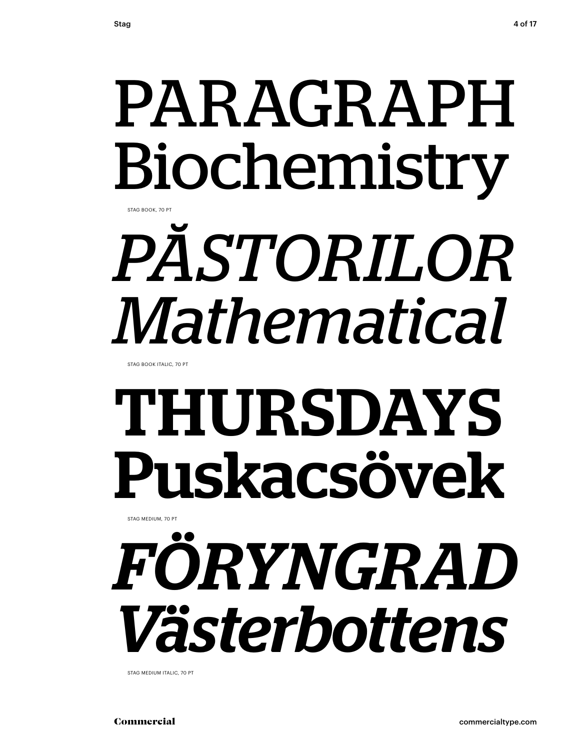## PARAGRAPH Biochemistry

STAG BOOK, 70 PT

# *PĂSTORILOR Mathematical*

STAG BOOK ITALIC, 70 PT

# THURSDAYS Puskacsövek

STAG MEDIUM, 70 PT

*FÖRYNGRAD Västerbottens*

STAG MEDIUM ITALIC, 70 PT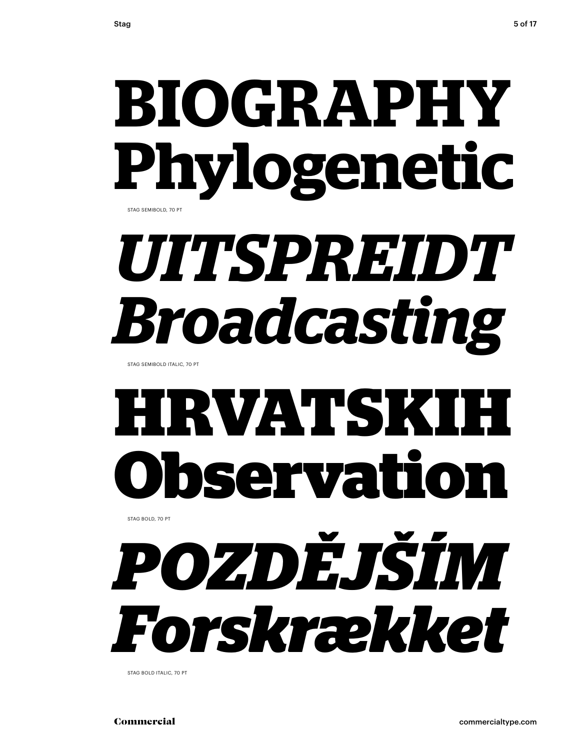## **BIOGRAPHY Phylogenetic** STAG SEMIBOLD, 70 PT

## *UITSPREIDT Broadcasting*

STAG SEMIBOLD ITALIC, 70 PT

## **HRVATSKIH Observation**

STAG BOLD, 70 PT



STAG BOLD ITALIC, 70 PT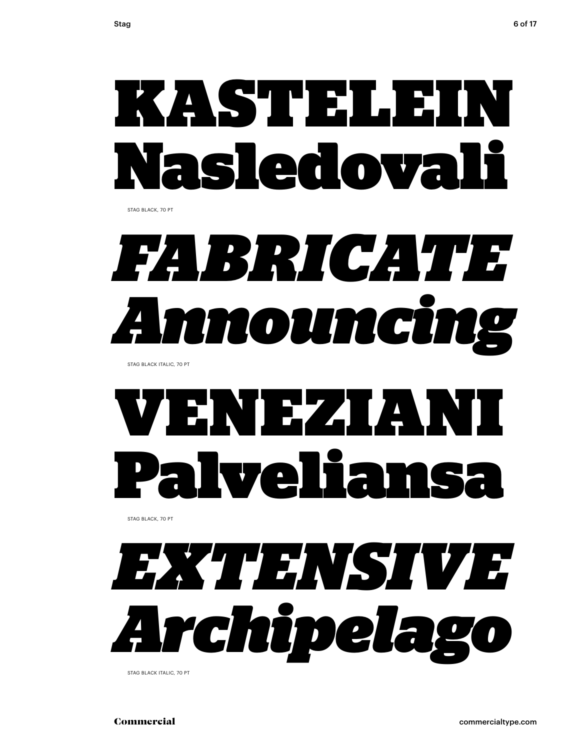

STAG BLACK, 70 PT



STAG BLACK ITALIC, 70 PT

## ENDEZALANI Ivelia

STAG BLACK, 70 PT



STAG BLACK ITALIC, 70 PT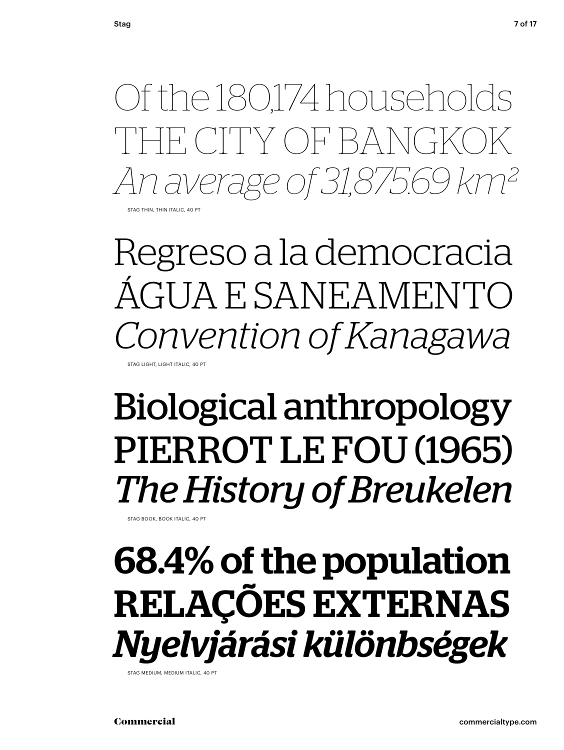Of the 180,174 households TH CITY OF BANGKO *An average of 31,875.69 km²* STAG THIN, THIN ITALIC, 40 PT

Regreso a la democracia ÁGUA E SANEAMENTO *Convention of Kanagawa* STAG LIGHT, LIGHT ITALIC, 40 PT

### Biological anthropology PIERROT LE FOU (1965) *The History of Breukelen*

STAG BOOK, BOOK ITALIC, 40 PT

### 68.4% of the population RELAÇÕES EXTERNAS *Nyelvjárási különbségek*

STAG MEDIUM, MEDIUM ITALIC, 40 PT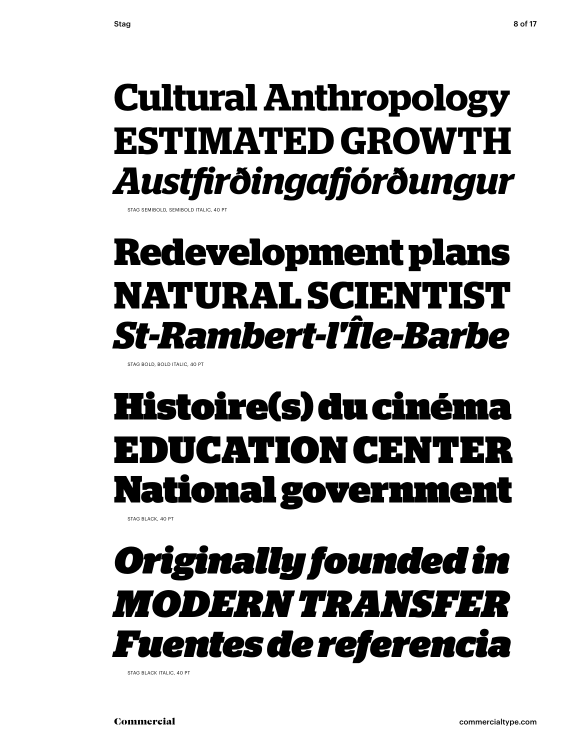### **Cultural Anthropology ESTIMATED GROWTH** *Austfi rðingafj órðungur*

STAG SEMIBOLD, SEMIBOLD ITALIC, 40 PT

### **Redevelopment plans NATURAL SCIENTIST** *St-Rambert-l'Île-Barbe*

STAG BOLD, BOLD ITALIC, 40 PT

### Histoire(s) du cinéma DUCATION CENTE **National government**

STAG BLACK, 40 PT

### *Originally founded in MODERN TRANSFER Fuentes de referencia*

STAG BLACK ITALIC, 40 PT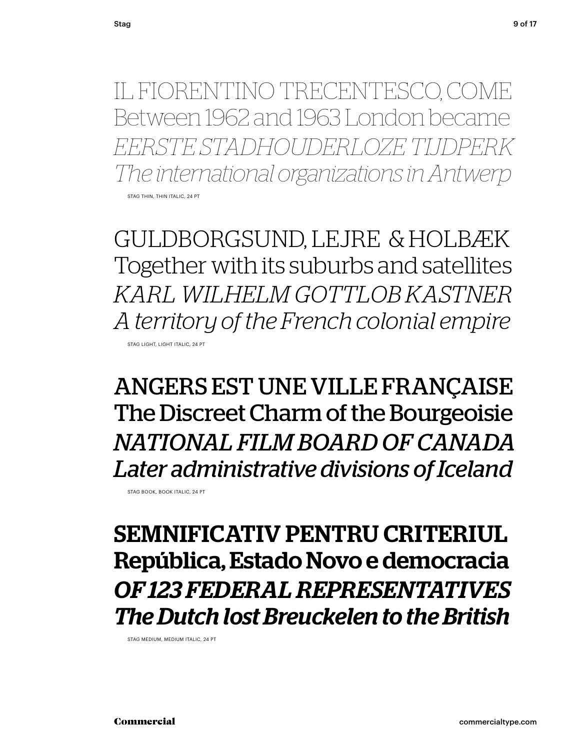IL FIORENTINO TRECENTESCO, COME Between 1962 and 1963 London became *EERSTE STADHOUDERLOZE TIJDPERK The international organizations in Antwerp*

STAG THIN, THIN ITALIC, 24 PT

GULDBORGSUND, LEJRE & HOLBÆK Together with its suburbs and satellites *KARL WILHELM GOTTLOB KASTNER A territory of the French colonial empire* STAG LIGHT, LIGHT ITALIC, 24 PT

ANGERS EST UNE VILLE FRANÇAISE The Discreet Charm of the Bourgeoisie *NATIONAL FILM BOARD OF CANADA Later administrative divisions of Iceland*

STAG BOOK, BOOK ITALIC, 24 PT

SEMNIFICATIV PENTRU CRITERIUL República, Estado Novo e democracia *OF 123 FEDERAL REPRESENTATIVES The Dutch lost Breuckelen to the British*

STAG MEDIUM, MEDIUM ITALIC, 24 PT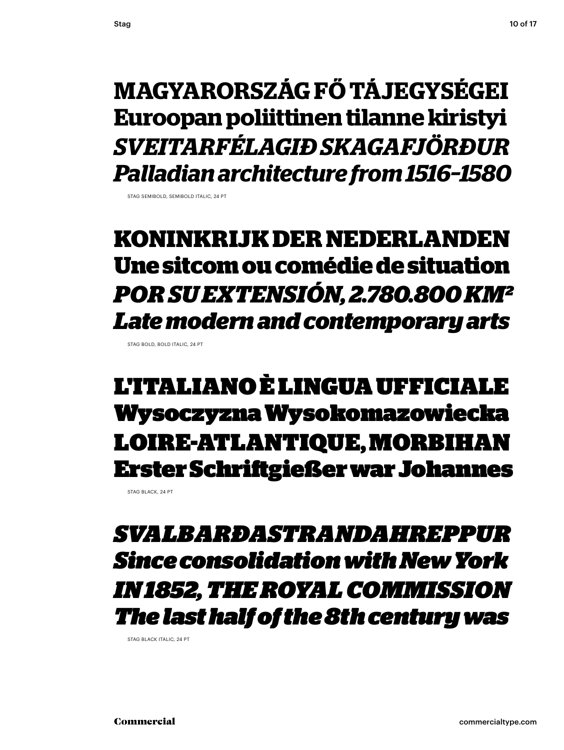**MAGYARORSZÁG FŐ TÁJEGYSÉGEI Euroopan poliittinen tilanne kiristyi** *SVEITARFÉLAGIÐ SKAGAFJÖRÐUR Palladian architecture from 1516–1580*

STAG SEMIROLD, SEMIROLD ITALIC, 24 PT

#### **KONINKRIJK DER NEDERLANDEN Une sitcom ou comédie de situation** *POR SU EXTENSIÓN, 2.780.800 KM² Late modern and contemporary arts*

STAG BOLD, BOLD ITALIC, 24 PT

L'ITALIANO È LINGUA UFFICIALE Wysoczyzna Wysokomazowiecka LOIRE-ATLANTIQUE, MORBIHAN Erster Schrift gießer war Johannes

STAG BLACK, 24 PT

*SVALBARÐASTRANDAHREPPUR Since consolidation with New York IN 1852, THE ROYAL COMMISSION The last half of the 8th century was*

STAG BLACK ITALIC, 24 PT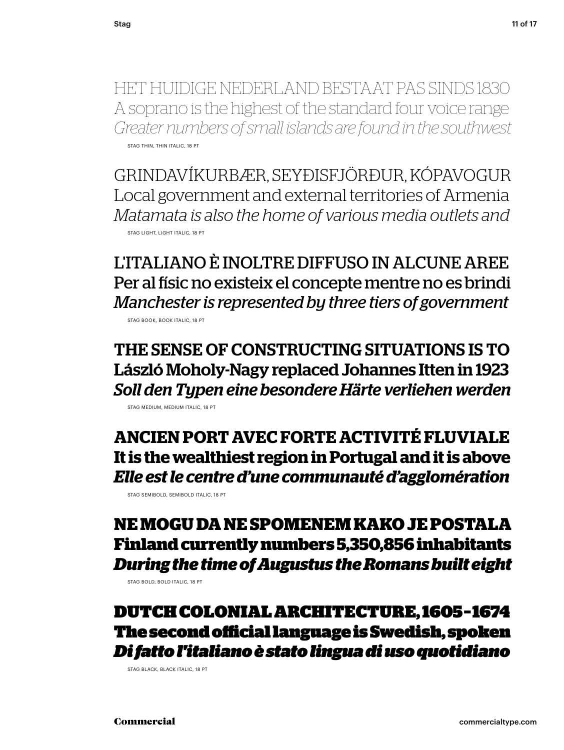HET HUIDIGE NEDERLAND BESTAAT PAS SINDS 1830 A soprano is the highest of the standard four voice range *Greater numbers of small islands are found in the southwest* STAG THIN, THIN ITALIC, 18 PT

GRINDAVÍKURBÆR, SEYÐISFJÖRÐUR, KÓPAVOGUR Local government and external territories of Armenia *Matamata is also the home of various media outlets and* STAG LIGHT, LIGHT ITALIC, 18 PT

L'ITALIANO È INOLTRE DIFFUSO IN ALCUNE AREE Per al físic no existeix el concepte mentre no es brindi *Manchester is represented by three tiers of government*

STAG BOOK, BOOK ITALIC, 18 PT

THE SENSE OF CONSTRUCTING SITUATIONS IS TO László Moholy-Nagy replaced Johannes Itten in 1923 *Soll den Typen eine besondere Härte verliehen werden*  STAG MEDIUM, MEDIUM ITALIC, 18 PT

**ANCIEN PORT AVEC FORTE ACTIVITÉ FLUVIALE It is the wealthiest region in Portugal and it is above** *Elle est le centre d'une communauté d'agglomération*

STAG SEMIBOLD, SEMIBOLD ITALIC, 18 PT

#### **NE MOGU DA NE SPOMENEM KAKO JE POSTALA Finland currently numbers 5,350,856 inhabitants** *During the time of Augustus the Romans built eight*

STAG BOLD, BOLD ITALIC, 18 PT

DUTCH COLONIAL ARCHITECTURE, 1605 – 1674 The second official language is Swedish, spoken *Di fatto l'italiano è stato lingua di uso quotidiano*

STAG BLACK, BLACK ITALIC, 18 PT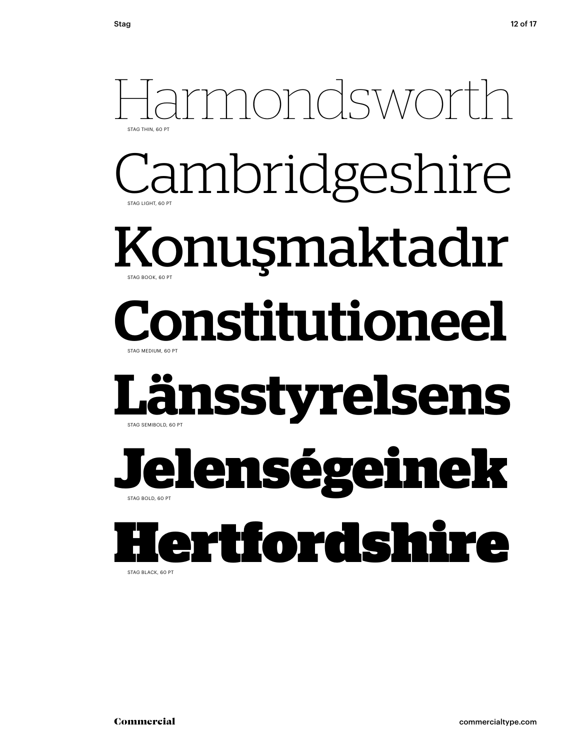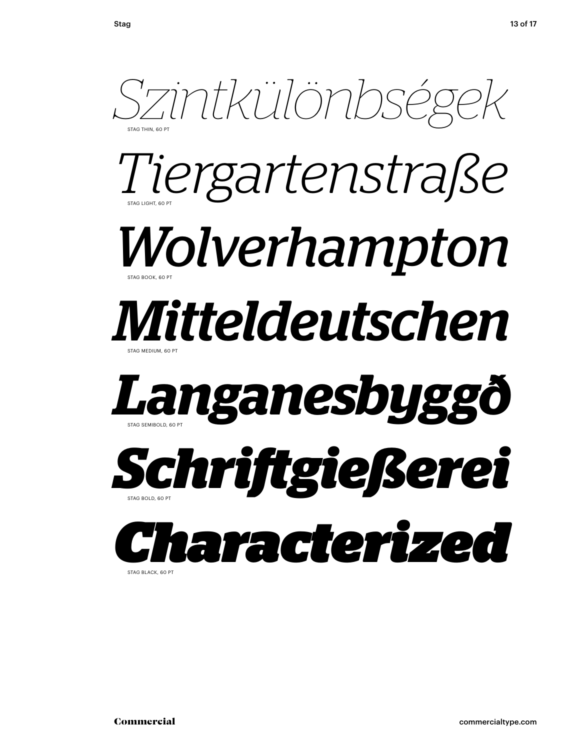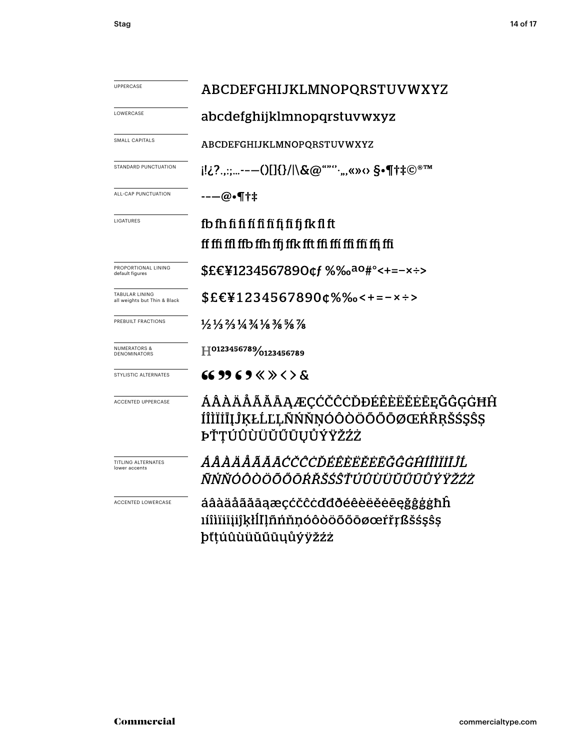| UPPERCASE                                             | ABCDEFGHIJKLMNOPQRSTUVWXYZ                                                                                                    |  |  |
|-------------------------------------------------------|-------------------------------------------------------------------------------------------------------------------------------|--|--|
| LOWERCASE                                             | abcdefghijklmnopqrstuvwxyz                                                                                                    |  |  |
| SMALL CAPITALS                                        | ABCDEFGHIJKLMNOPQRSTUVWXYZ                                                                                                    |  |  |
| STANDARD PUNCTUATION                                  | i!¿?.,:;---()[]{}/ \&@""'',,,«»<> \$•¶†‡©®™                                                                                   |  |  |
| ALL-CAP PUNCTUATION                                   | $---@.$ ¶†‡                                                                                                                   |  |  |
| LIGATURES                                             | fb fh fi fi fí fi fi fi fi fi fk fl ft                                                                                        |  |  |
|                                                       | If ffi ffl ffb ffh ffj ffk fft ffi ffi ffi ffi ffj ffi                                                                        |  |  |
| PROPORTIONAL LINING<br>default figures                | \$£€¥1234567890¢f %‰ <sup>ao</sup> #°<+=-×÷>                                                                                  |  |  |
| <b>TABULAR LINING</b><br>all weights but Thin & Black | \$£€¥1234567890¢%‰<+=-×÷>                                                                                                     |  |  |
| PREBUILT FRACTIONS                                    | $\frac{1}{2}$ $\frac{1}{3}$ $\frac{2}{3}$ $\frac{1}{4}$ $\frac{3}{4}$ $\frac{1}{8}$ $\frac{3}{8}$ $\frac{5}{8}$ $\frac{7}{8}$ |  |  |
| <b>NUMERATORS &amp;</b><br><b>DENOMINATORS</b>        | H0123456789/0123456789                                                                                                        |  |  |
| <b>STYLISTIC ALTERNATES</b>                           |                                                                                                                               |  |  |
| <b>ACCENTED UPPERCASE</b>                             | ÁÂÀÄÅÃĂĀAÆÇĆČĈÒĐÉÊÈËĔĔĒĘĞĜĢĠĦĤ<br>ÍÎÌÏİĪĮĴĶŁĹĽĻÑŃŇŅÓÔÒÖÖŐŌØŒŔŘŖŠŚŞŜŞ<br>ÞŤŢÚÛÙÜŬŰŨŪŲŮÝŸŽŹŻ                                    |  |  |
| <b>TITLING ALTERNATES</b><br>lower accents            | ÁÂÀÄÅÃĂĀĊČĈĊĎÉÊÈËĔĒĞĜĠĤÍÎÌĬĪĴĹ<br>ÑŃŇÓÔÒÖÕŐŌŔŘŠŚŜŤŬÛÙŬŬŰŨŮŶŸŽŹŻ                                                               |  |  |
| ACCENTED LOWERCASE                                    | áâàäåããāaæçćčĉċďđðéêèëěėēęğĝģġħĥ<br>ıíîìïiiijjkłlllñńňnóôòöõőōøœŕřŗßšśşŝş                                                     |  |  |

þťţúûùüŭűūųůýÿžźż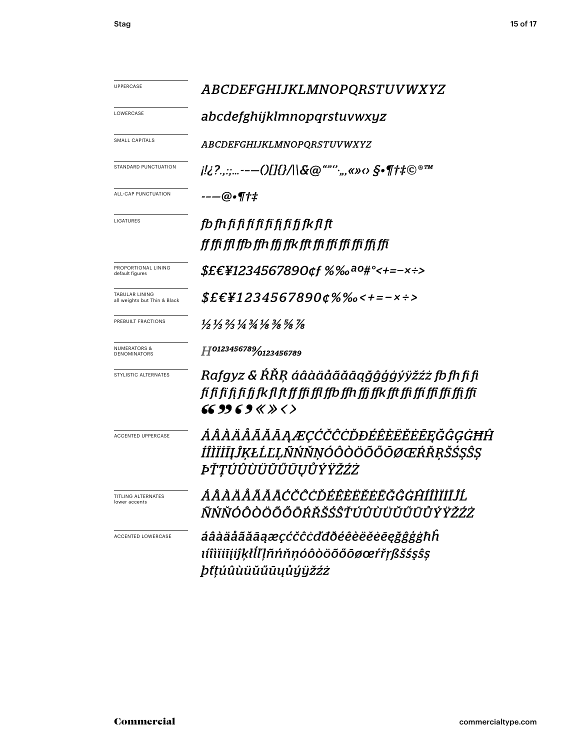| UPPERCASE                                      | <i>ABCDEFGHIJKLMNOPQRSTUVWXYZ</i>                                                                                                                        |  |  |
|------------------------------------------------|----------------------------------------------------------------------------------------------------------------------------------------------------------|--|--|
| LOWERCASE                                      | abcdefghijklmnopqrstuvwxyz                                                                                                                               |  |  |
| SMALL CAPITALS                                 | ABCDEFGHIJKLMNOPQRSTUVWXYZ                                                                                                                               |  |  |
| STANDARD PUNCTUATION                           | $i!i$ ?.,:;---()[]{}/ \&@""'`;,,«» $\circ$ §•¶t# $\mathbb{O}^{\circ m}$                                                                                  |  |  |
| ALL-CAP PUNCTUATION                            | --—@•¶†‡                                                                                                                                                 |  |  |
| LIGATURES                                      | fb fh fi fi fí fi fi fi fi fk fl ft                                                                                                                      |  |  |
|                                                | ff ffi ffl ffb ffh ffi ffk fft ffi ffi ffi ffi ffi ffi                                                                                                   |  |  |
| PROPORTIONAL LINING<br>default figures         | $$EEY1234567890$ ¢f %‰ <sup>a0#°</sup> <+=-x÷>                                                                                                           |  |  |
| TABULAR LINING<br>all weights but Thin & Black | $$EEY12345678900\%%$ $\leftarrow$ --x ÷>                                                                                                                 |  |  |
| PREBUILT FRACTIONS                             | $\frac{1}{2}$ $\frac{1}{3}$ $\frac{2}{3}$ $\frac{1}{4}$ $\frac{3}{4}$ $\frac{1}{8}$ $\frac{3}{8}$ $\frac{5}{8}$ $\frac{7}{8}$                            |  |  |
| <b>NUMERATORS &amp;</b><br>DENOMINATORS        | H0123456789/0123456789                                                                                                                                   |  |  |
| STYLISTIC ALTERNATES                           | Rafgyz & ŔŘŖ áâàäåãăāąǧĝģģýÿžźż fb fh fi fi<br>fí fi fi fi fi fi fi fk fl ft ff ffi ffl ffb ffh ffj ffk fft ffi ffi ffi ffi ffi ffi<br>66 99 6 9 « » < > |  |  |
| <b>ACCENTED UPPERCASE</b>                      | ÁÂÀÄĂĂĂĂĄÆÇĆČĈĊĎĐÉÊÈËĔĒĒĞĜĢĠĦĤ<br>ÍÎÌÏİĪĮĴĶŁĹĽĻÑŃŇŅÓÔÒÖÕŐŌØŒŔŘŖŠŚŞŜŞ<br><i>ĿŤŢÚÛÙÜŬŰŨŲŮÝŸŽŹŻ</i>                                                         |  |  |
| TITLING ALTERNATES<br>lower accents            | ÁÂÀÄÅÃĂĀCČĈÒÉÊÈËĔĔĒĞĜĠĤÍÎÌĬĬĬĹ<br>ÑŃŇÓÔÒÖÕŐŌŔŘŠŚŜŤÚÛÙÜŬŰŪŮÝŸŽŹŻ                                                                                          |  |  |
| <b>ACCENTED LOWERCASE</b>                      | áâàäåããāąæçćčĉċďdðéêèëĕēęğĝģġħĥ<br>ıíîìïiiįiĵķłĺľļñńňṇóôòöõőōøœŕřṛßšśşŝş<br><i>þťţúûùüŭűūųůýÿžźż</i>                                                     |  |  |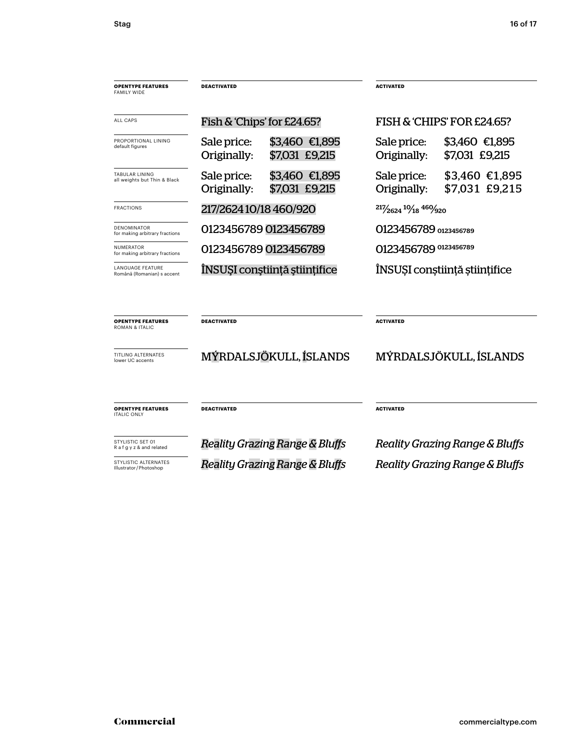| <b>OPENTYPE FEATURES</b><br><b>FAMILY WIDE</b>        | <b>DEACTIVATED</b>                                             | <b>ACTIVATED</b>                                               |
|-------------------------------------------------------|----------------------------------------------------------------|----------------------------------------------------------------|
| ALL CAPS                                              | Fish & 'Chips' for £24.65?                                     | FISH & 'CHIPS' FOR £24.65?                                     |
| PROPORTIONAL LINING<br>default figures                | Sale price:<br>\$3,460 €1,895<br>\$7,031 £9,215<br>Originally: | \$3,460 €1,895<br>Sale price:<br>\$7,031 £9,215<br>Originally: |
| <b>TABULAR LINING</b><br>all weights but Thin & Black | \$3,460 €1,895<br>Sale price:<br>\$7,031 £9,215<br>Originally: | \$3,460 €1,895<br>Sale price:<br>\$7,031 £9,215<br>Originally: |
| <b>FRACTIONS</b>                                      | 217/262410/18460/920                                           | 217/2624 10/18 460/920                                         |
| <b>DENOMINATOR</b><br>for making arbitrary fractions  | 0123456789 0123456789                                          | 0123456789 0123456789                                          |
| NUMERATOR<br>for making arbitrary fractions           | 0123456789 0123456789                                          | 0123456789 0123456789                                          |
| <b>LANGUAGE FEATURE</b><br>Română (Romanian) s accent | ÎNSUȘI conștiință științifice                                  | ÎNSUȘI conștiință științifice                                  |
| <b>OPENTYPE FEATURES</b><br><b>ROMAN &amp; ITALIC</b> | <b>DEACTIVATED</b>                                             | <b>ACTIVATED</b>                                               |
| <b>TITLING ALTERNATES</b><br>lower UC accents         | MÝRDALSJÖKULL, ÍSLANDS                                         | MÝRDALSJÖKULL, ÍSLANDS                                         |
| <b>OPENTYPE FEATURES</b><br><b>ITALIC ONLY</b>        | <b>DEACTIVATED</b>                                             | <b>ACTIVATED</b>                                               |
| STYLISTIC SET 01<br>R a f g y z & and related         | Reality Grazing Range & Bluffs                                 | <b>Reality Grazing Range &amp; Bluffs</b>                      |
| STYLISTIC ALTERNATES<br>Illustrator/Photoshop         | Reality Grazing Range & Bluffs                                 | Reality Grazing Range & Bluffs                                 |